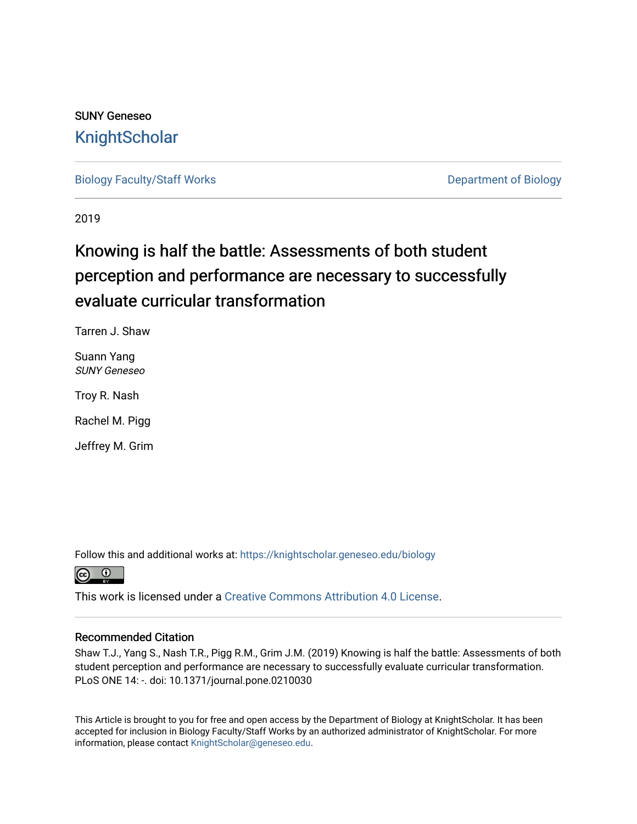# SUNY Geneseo **[KnightScholar](https://knightscholar.geneseo.edu/)**

[Biology Faculty/Staff Works](https://knightscholar.geneseo.edu/biology) **Department of Biology** 

2019

# Knowing is half the battle: Assessments of both student perception and performance are necessary to successfully evaluate curricular transformation

Tarren J. Shaw

Suann Yang SUNY Geneseo

Troy R. Nash

Rachel M. Pigg

Jeffrey M. Grim

Follow this and additional works at: [https://knightscholar.geneseo.edu/biology](https://knightscholar.geneseo.edu/biology?utm_source=knightscholar.geneseo.edu%2Fbiology%2F57&utm_medium=PDF&utm_campaign=PDFCoverPages) 



This work is licensed under a [Creative Commons Attribution 4.0 License](https://creativecommons.org/licenses/by/4.0/).

## Recommended Citation

Shaw T.J., Yang S., Nash T.R., Pigg R.M., Grim J.M. (2019) Knowing is half the battle: Assessments of both student perception and performance are necessary to successfully evaluate curricular transformation. PLoS ONE 14: -. doi: 10.1371/journal.pone.0210030

This Article is brought to you for free and open access by the Department of Biology at KnightScholar. It has been accepted for inclusion in Biology Faculty/Staff Works by an authorized administrator of KnightScholar. For more information, please contact [KnightScholar@geneseo.edu.](mailto:KnightScholar@geneseo.edu)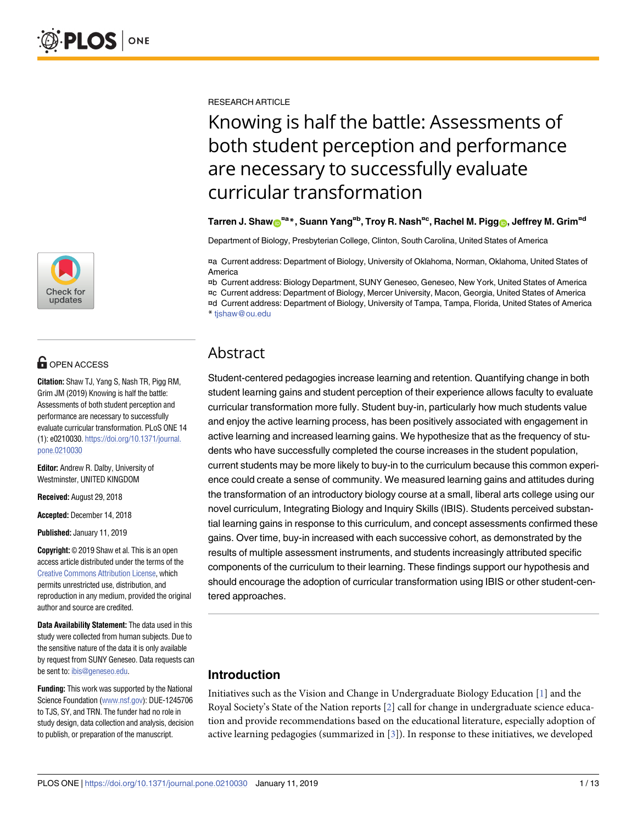

# **OPEN ACCESS**

**Citation:** Shaw TJ, Yang S, Nash TR, Pigg RM, Grim JM (2019) Knowing is half the battle: Assessments of both student perception and performance are necessary to successfully evaluate curricular transformation. PLoS ONE 14 (1): e0210030. [https://doi.org/10.1371/journal.](https://doi.org/10.1371/journal.pone.0210030) [pone.0210030](https://doi.org/10.1371/journal.pone.0210030)

**Editor:** Andrew R. Dalby, University of Westminster, UNITED KINGDOM

**Received:** August 29, 2018

**Accepted:** December 14, 2018

**Published:** January 11, 2019

**Copyright:** © 2019 Shaw et al. This is an open access article distributed under the terms of the Creative Commons [Attribution](http://creativecommons.org/licenses/by/4.0/) License, which permits unrestricted use, distribution, and reproduction in any medium, provided the original author and source are credited.

**Data Availability Statement:** The data used in this study were collected from human subjects. Due to the sensitive nature of the data it is only available by request from SUNY Geneseo. Data requests can be sent to: [ibis@geneseo.edu.](mailto:ibis@geneseo.edu)

**Funding:** This work was supported by the National Science Foundation [\(www.nsf.gov](http://www.nsf.gov)): DUE-1245706 to TJS, SY, and TRN. The funder had no role in study design, data collection and analysis, decision to publish, or preparation of the manuscript.

<span id="page-1-0"></span>RESEARCH ARTICLE

# Knowing is half the battle: Assessments of both student perception and performance are necessary to successfully evaluate curricular transformation

## Tarren J. Shaw⋒<sup>¤a</sup>\*, Suann Yang<sup>¤b</sup>, Troy R. Nash<sup>¤c</sup>, Rachel M. Pigg⋒, Jeffrey M. Grim<sup>¤d</sup>

Department of Biology, Presbyterian College, Clinton, South Carolina, United States of America

¤a Current address: Department of Biology, University of Oklahoma, Norman, Oklahoma, United States of America

¤b Current address: Biology Department, SUNY Geneseo, Geneseo, New York, United States of America

¤c Current address: Department of Biology, Mercer University, Macon, Georgia, United States of America

¤d Current address: Department of Biology, University of Tampa, Tampa, Florida, United States of America \* tjshaw@ou.edu

# Abstract

Student-centered pedagogies increase learning and retention. Quantifying change in both student learning gains and student perception of their experience allows faculty to evaluate curricular transformation more fully. Student buy-in, particularly how much students value and enjoy the active learning process, has been positively associated with engagement in active learning and increased learning gains. We hypothesize that as the frequency of students who have successfully completed the course increases in the student population, current students may be more likely to buy-in to the curriculum because this common experience could create a sense of community. We measured learning gains and attitudes during the transformation of an introductory biology course at a small, liberal arts college using our novel curriculum, Integrating Biology and Inquiry Skills (IBIS). Students perceived substantial learning gains in response to this curriculum, and concept assessments confirmed these gains. Over time, buy-in increased with each successive cohort, as demonstrated by the results of multiple assessment instruments, and students increasingly attributed specific components of the curriculum to their learning. These findings support our hypothesis and should encourage the adoption of curricular transformation using IBIS or other student-centered approaches.

# **Introduction**

Initiatives such as the Vision and Change in Undergraduate Biology Education [[1](#page-11-0)] and the Royal Society's State of the Nation reports [[2\]](#page-11-0) call for change in undergraduate science education and provide recommendations based on the educational literature, especially adoption of active learning pedagogies (summarized in [[3](#page-11-0)]). In response to these initiatives, we developed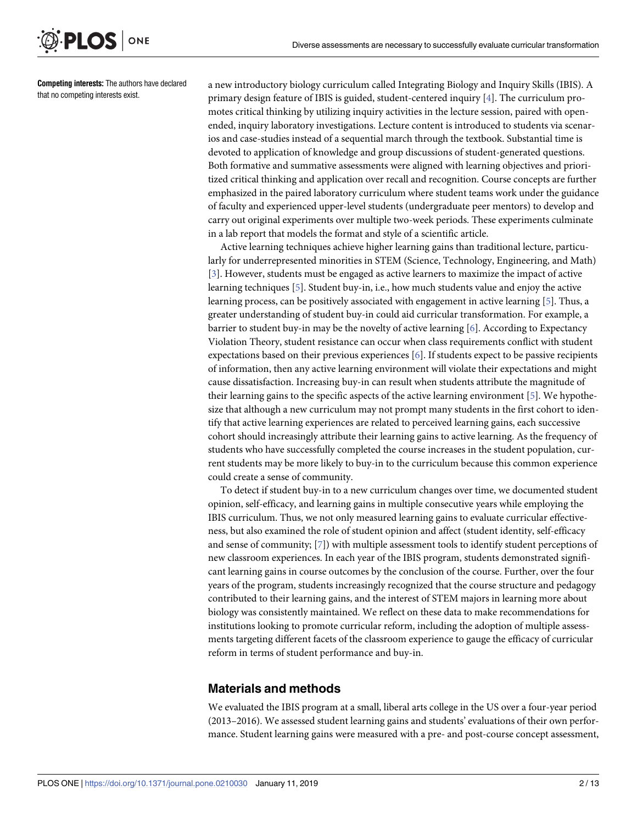<span id="page-2-0"></span>

**Competing interests:** The authors have declared that no competing interests exist.

a new introductory biology curriculum called Integrating Biology and Inquiry Skills (IBIS). A primary design feature of IBIS is guided, student-centered inquiry [[4](#page-11-0)]. The curriculum promotes critical thinking by utilizing inquiry activities in the lecture session, paired with openended, inquiry laboratory investigations. Lecture content is introduced to students via scenarios and case-studies instead of a sequential march through the textbook. Substantial time is devoted to application of knowledge and group discussions of student-generated questions. Both formative and summative assessments were aligned with learning objectives and prioritized critical thinking and application over recall and recognition. Course concepts are further emphasized in the paired laboratory curriculum where student teams work under the guidance of faculty and experienced upper-level students (undergraduate peer mentors) to develop and carry out original experiments over multiple two-week periods. These experiments culminate in a lab report that models the format and style of a scientific article.

Active learning techniques achieve higher learning gains than traditional lecture, particularly for underrepresented minorities in STEM (Science, Technology, Engineering, and Math) [\[3](#page-11-0)]. However, students must be engaged as active learners to maximize the impact of active learning techniques [[5\]](#page-12-0). Student buy-in, i.e., how much students value and enjoy the active learning process, can be positively associated with engagement in active learning [[5\]](#page-12-0). Thus, a greater understanding of student buy-in could aid curricular transformation. For example, a barrier to student buy-in may be the novelty of active learning [[6](#page-12-0)]. According to Expectancy Violation Theory, student resistance can occur when class requirements conflict with student expectations based on their previous experiences [\[6\]](#page-12-0). If students expect to be passive recipients of information, then any active learning environment will violate their expectations and might cause dissatisfaction. Increasing buy-in can result when students attribute the magnitude of their learning gains to the specific aspects of the active learning environment [[5](#page-12-0)]. We hypothesize that although a new curriculum may not prompt many students in the first cohort to identify that active learning experiences are related to perceived learning gains, each successive cohort should increasingly attribute their learning gains to active learning. As the frequency of students who have successfully completed the course increases in the student population, current students may be more likely to buy-in to the curriculum because this common experience could create a sense of community.

To detect if student buy-in to a new curriculum changes over time, we documented student opinion, self-efficacy, and learning gains in multiple consecutive years while employing the IBIS curriculum. Thus, we not only measured learning gains to evaluate curricular effectiveness, but also examined the role of student opinion and affect (student identity, self-efficacy and sense of community; [\[7](#page-12-0)]) with multiple assessment tools to identify student perceptions of new classroom experiences. In each year of the IBIS program, students demonstrated significant learning gains in course outcomes by the conclusion of the course. Further, over the four years of the program, students increasingly recognized that the course structure and pedagogy contributed to their learning gains, and the interest of STEM majors in learning more about biology was consistently maintained. We reflect on these data to make recommendations for institutions looking to promote curricular reform, including the adoption of multiple assessments targeting different facets of the classroom experience to gauge the efficacy of curricular reform in terms of student performance and buy-in.

## **Materials and methods**

We evaluated the IBIS program at a small, liberal arts college in the US over a four-year period (2013–2016). We assessed student learning gains and students' evaluations of their own performance. Student learning gains were measured with a pre- and post-course concept assessment,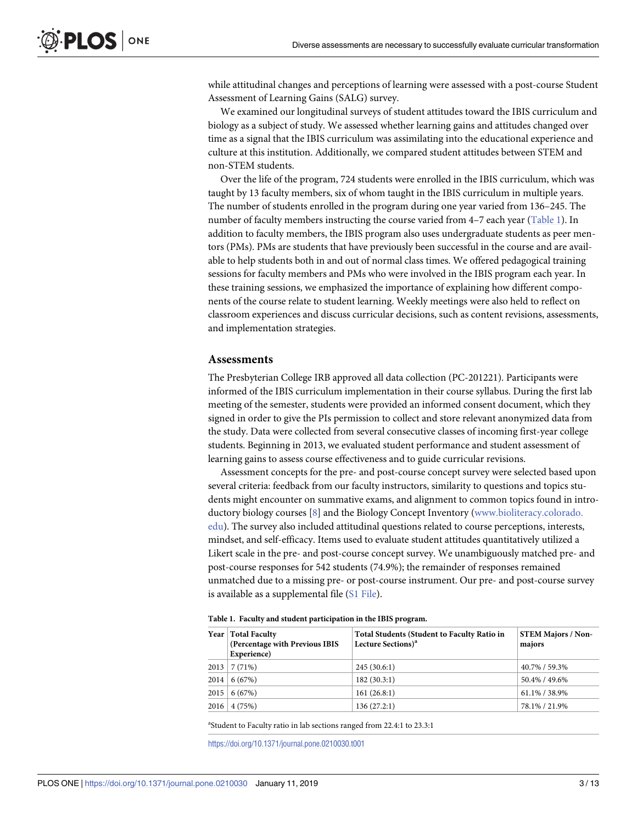<span id="page-3-0"></span>while attitudinal changes and perceptions of learning were assessed with a post-course Student Assessment of Learning Gains (SALG) survey.

We examined our longitudinal surveys of student attitudes toward the IBIS curriculum and biology as a subject of study. We assessed whether learning gains and attitudes changed over time as a signal that the IBIS curriculum was assimilating into the educational experience and culture at this institution. Additionally, we compared student attitudes between STEM and non-STEM students.

Over the life of the program, 724 students were enrolled in the IBIS curriculum, which was taught by 13 faculty members, six of whom taught in the IBIS curriculum in multiple years. The number of students enrolled in the program during one year varied from 136–245. The number of faculty members instructing the course varied from 4–7 each year (Table 1). In addition to faculty members, the IBIS program also uses undergraduate students as peer mentors (PMs). PMs are students that have previously been successful in the course and are available to help students both in and out of normal class times. We offered pedagogical training sessions for faculty members and PMs who were involved in the IBIS program each year. In these training sessions, we emphasized the importance of explaining how different components of the course relate to student learning. Weekly meetings were also held to reflect on classroom experiences and discuss curricular decisions, such as content revisions, assessments, and implementation strategies.

#### **Assessments**

The Presbyterian College IRB approved all data collection (PC-201221). Participants were informed of the IBIS curriculum implementation in their course syllabus. During the first lab meeting of the semester, students were provided an informed consent document, which they signed in order to give the PIs permission to collect and store relevant anonymized data from the study. Data were collected from several consecutive classes of incoming first-year college students. Beginning in 2013, we evaluated student performance and student assessment of learning gains to assess course effectiveness and to guide curricular revisions.

Assessment concepts for the pre- and post-course concept survey were selected based upon several criteria: feedback from our faculty instructors, similarity to questions and topics students might encounter on summative exams, and alignment to common topics found in introductory biology courses [\[8](#page-12-0)] and the Biology Concept Inventory [\(www.bioliteracy.colorado.](http://www.bioliteracy.colorado.edu/) [edu\)](http://www.bioliteracy.colorado.edu/). The survey also included attitudinal questions related to course perceptions, interests, mindset, and self-efficacy. Items used to evaluate student attitudes quantitatively utilized a Likert scale in the pre- and post-course concept survey. We unambiguously matched pre- and post-course responses for 542 students (74.9%); the remainder of responses remained unmatched due to a missing pre- or post-course instrument. Our pre- and post-course survey is available as a supplemental file (S1 [File\)](#page-11-0).

**Table 1. Faculty and student participation in the IBIS program.**

| Year   Total Faculty<br>(Percentage with Previous IBIS<br>Experience) | <b>Total Students (Student to Faculty Ratio in</b><br>Lecture Sections) <sup>a</sup> | <b>STEM Majors / Non-</b><br>majors |
|-----------------------------------------------------------------------|--------------------------------------------------------------------------------------|-------------------------------------|
| $2013 \mid 7(71\%)$                                                   | 245(30.6:1)                                                                          | 40.7% / 59.3%                       |
| 2014   6(67%)                                                         | 182(30.3:1)                                                                          | 50.4% / 49.6%                       |
| $2015 \mid 6(67\%)$                                                   | 161(26.8:1)                                                                          | 61.1% / 38.9%                       |
| $2016 \mid 4(75\%)$                                                   | 136(27.2:1)                                                                          | 78.1% / 21.9%                       |

<sup>a</sup>Student to Faculty ratio in lab sections ranged from 22.4:1 to 23.3:1

<https://doi.org/10.1371/journal.pone.0210030.t001>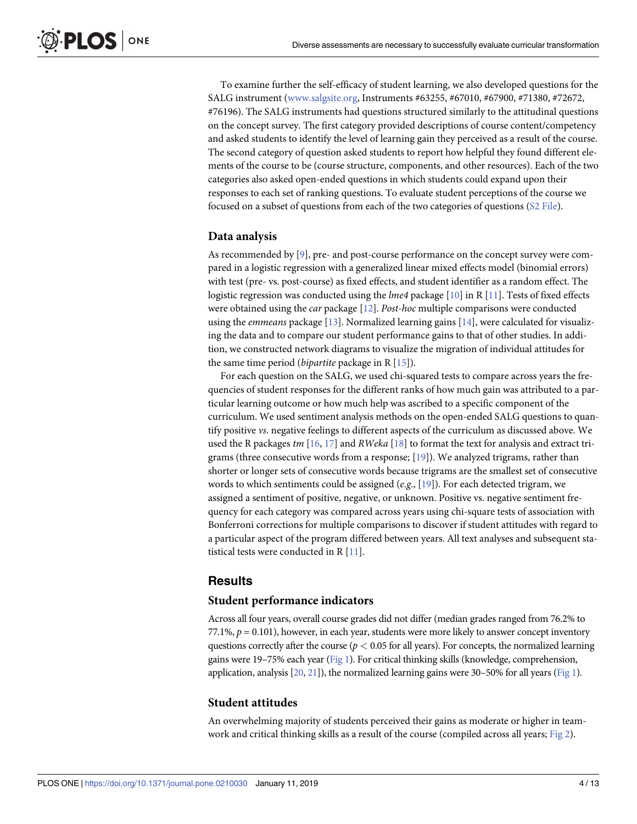To examine further the self-efficacy of student learning, we also developed questions for the SALG instrument ([www.salgsite.org,](http://www.salgsite.org/) Instruments #63255, #67010, #67900, #71380, #72672, #76196). The SALG instruments had questions structured similarly to the attitudinal questions on the concept survey. The first category provided descriptions of course content/competency and asked students to identify the level of learning gain they perceived as a result of the course. The second category of question asked students to report how helpful they found different elements of the course to be (course structure, components, and other resources). Each of the two categories also asked open-ended questions in which students could expand upon their responses to each set of ranking questions. To evaluate student perceptions of the course we focused on a subset of questions from each of the two categories of questions (S2 [File\)](#page-11-0).

#### **Data analysis**

ONE

<span id="page-4-0"></span>PLOS I

As recommended by  $[9]$ , pre- and post-course performance on the concept survey were compared in a logistic regression with a generalized linear mixed effects model (binomial errors) with test (pre- vs. post-course) as fixed effects, and student identifier as a random effect. The logistic regression was conducted using the *lme4* package [\[10\]](#page-12-0) in R [[11](#page-12-0)]. Tests of fixed effects were obtained using the *car* package [\[12\]](#page-12-0). *Post-hoc* multiple comparisons were conducted using the *emmeans* package [\[13\]](#page-12-0). Normalized learning gains [\[14\]](#page-12-0), were calculated for visualizing the data and to compare our student performance gains to that of other studies. In addition, we constructed network diagrams to visualize the migration of individual attitudes for the same time period (*bipartite* package in R [\[15\]](#page-12-0)).

For each question on the SALG, we used chi-squared tests to compare across years the frequencies of student responses for the different ranks of how much gain was attributed to a particular learning outcome or how much help was ascribed to a specific component of the curriculum. We used sentiment analysis methods on the open-ended SALG questions to quantify positive *vs*. negative feelings to different aspects of the curriculum as discussed above. We used the R packages *tm* [[16](#page-12-0), [17](#page-12-0)] and *RWeka* [[18](#page-12-0)] to format the text for analysis and extract trigrams (three consecutive words from a response;  $[19]$  $[19]$  $[19]$ ). We analyzed trigrams, rather than shorter or longer sets of consecutive words because trigrams are the smallest set of consecutive words to which sentiments could be assigned (*e*.*g*., [\[19\]](#page-12-0)). For each detected trigram, we assigned a sentiment of positive, negative, or unknown. Positive vs. negative sentiment frequency for each category was compared across years using chi-square tests of association with Bonferroni corrections for multiple comparisons to discover if student attitudes with regard to a particular aspect of the program differed between years. All text analyses and subsequent statistical tests were conducted in R [\[11\]](#page-12-0).

### **Results**

#### **Student performance indicators**

Across all four years, overall course grades did not differ (median grades ranged from 76.2% to 77.1%,  $p = 0.101$ ), however, in each year, students were more likely to answer concept inventory questions correctly after the course (*p <* 0.05 for all years). For concepts, the normalized learning gains were 19–75% each year [\(Fig](#page-5-0) 1). For critical thinking skills (knowledge, comprehension, application, analysis  $[20, 21]$  $[20, 21]$  $[20, 21]$  $[20, 21]$ , the normalized learning gains were 30–50% for all years [\(Fig](#page-5-0) 1).

#### **Student attitudes**

An overwhelming majority of students perceived their gains as moderate or higher in teamwork and critical thinking skills as a result of the course (compiled across all years; [Fig](#page-6-0) 2).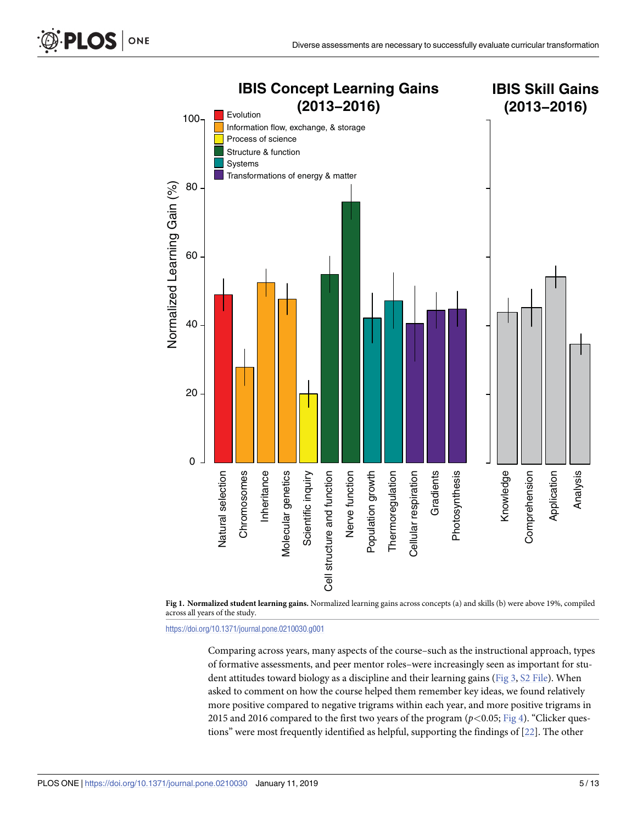<span id="page-5-0"></span>



<https://doi.org/10.1371/journal.pone.0210030.g001>

Comparing across years, many aspects of the course–such as the instructional approach, types of formative assessments, and peer mentor roles–were increasingly seen as important for student attitudes toward biology as a discipline and their learning gains [\(Fig](#page-7-0) 3, S2 [File\)](#page-11-0). When asked to comment on how the course helped them remember key ideas, we found relatively more positive compared to negative trigrams within each year, and more positive trigrams in 2015 and 2016 compared to the first two years of the program (*p<*0.05; [Fig](#page-8-0) 4). "Clicker questions" were most frequently identified as helpful, supporting the findings of [\[22\]](#page-12-0). The other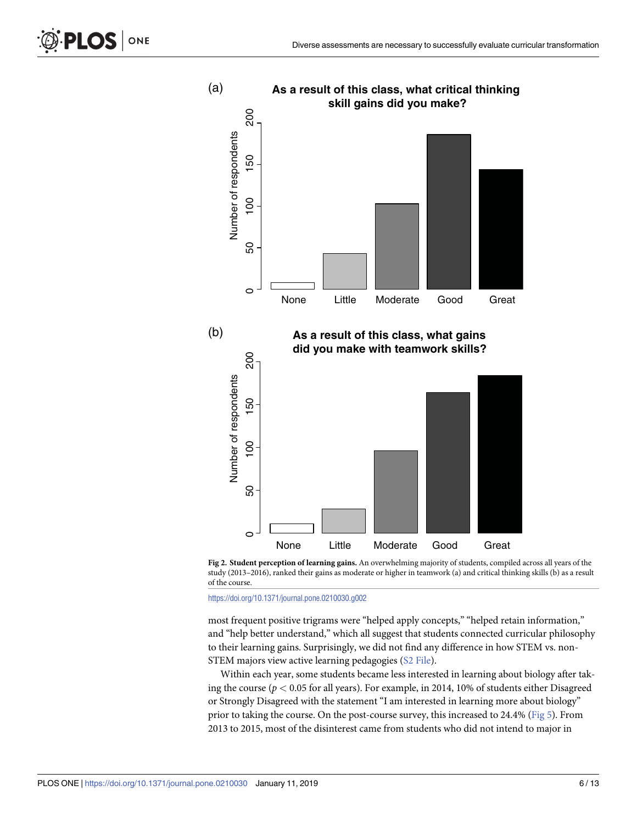<span id="page-6-0"></span>



**[Fig](#page-4-0) 2. Student perception of learning gains.** An overwhelming majority of students, compiled across all years of the study (2013–2016), ranked their gains as moderate or higher in teamwork (a) and critical thinking skills (b) as a result of the course.

<https://doi.org/10.1371/journal.pone.0210030.g002>

most frequent positive trigrams were "helped apply concepts," "helped retain information," and "help better understand," which all suggest that students connected curricular philosophy to their learning gains. Surprisingly, we did not find any difference in how STEM vs. non-STEM majors view active learning pedagogies (S2 [File](#page-11-0)).

Within each year, some students became less interested in learning about biology after taking the course (*p <* 0.05 for all years). For example, in 2014, 10% of students either Disagreed or Strongly Disagreed with the statement "I am interested in learning more about biology" prior to taking the course. On the post-course survey, this increased to 24.4% ([Fig](#page-10-0) 5). From 2013 to 2015, most of the disinterest came from students who did not intend to major in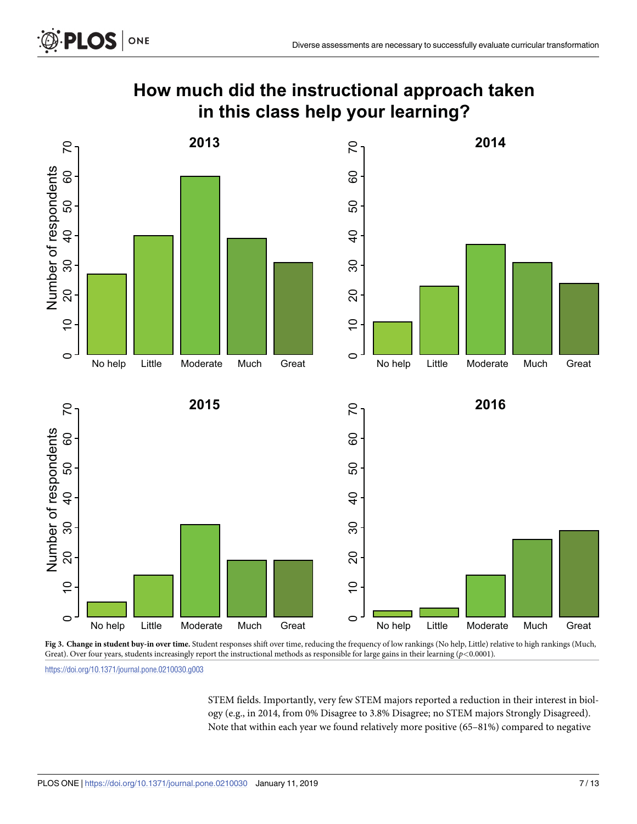<span id="page-7-0"></span>

# **How much did the instructional approach taken in this class help your learning?**



**[Fig](#page-5-0) 3. Change in student buy-in over time.** Student responses shift over time, reducing the frequency of low rankings (No help, Little) relative to high rankings (Much, Great). Over four years, students increasingly report the instructional methods as responsible for large gains in their learning (*p<*0.0001).

<https://doi.org/10.1371/journal.pone.0210030.g003>

STEM fields. Importantly, very few STEM majors reported a reduction in their interest in biology (e.g., in 2014, from 0% Disagree to 3.8% Disagree; no STEM majors Strongly Disagreed). Note that within each year we found relatively more positive (65–81%) compared to negative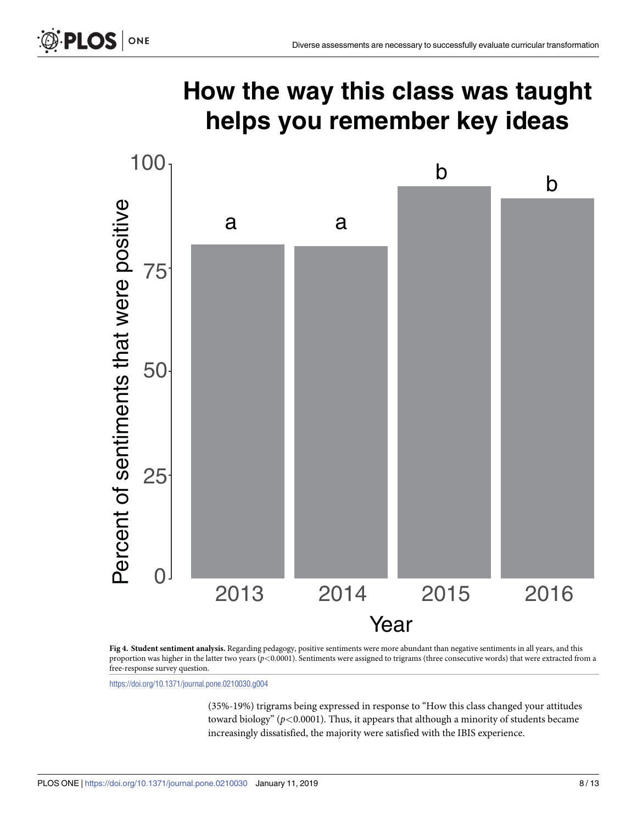<span id="page-8-0"></span>PLOS ONE

# **How the way this class was taught helps you remember key ideas**



**[Fig](#page-5-0) 4. Student sentiment analysis.** Regarding pedagogy, positive sentiments were more abundant than negative sentiments in all years, and this proportion was higher in the latter two years (*p<*0.0001). Sentiments were assigned to trigrams (three consecutive words) that were extracted from a free-response survey question.

<https://doi.org/10.1371/journal.pone.0210030.g004>

(35%-19%) trigrams being expressed in response to "How this class changed your attitudes toward biology" (*p<*0.0001). Thus, it appears that although a minority of students became increasingly dissatisfied, the majority were satisfied with the IBIS experience.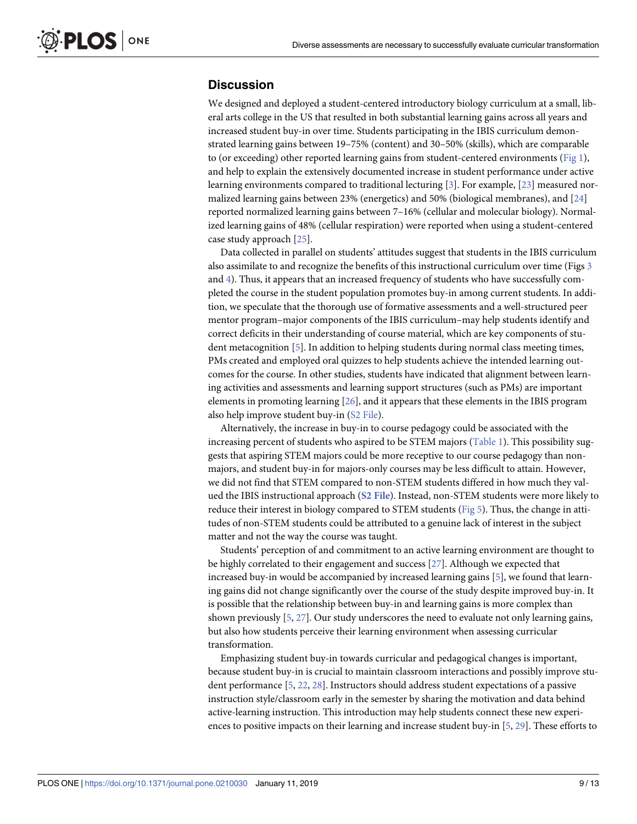## <span id="page-9-0"></span>**Discussion**

We designed and deployed a student-centered introductory biology curriculum at a small, liberal arts college in the US that resulted in both substantial learning gains across all years and increased student buy-in over time. Students participating in the IBIS curriculum demonstrated learning gains between 19–75% (content) and 30–50% (skills), which are comparable to (or exceeding) other reported learning gains from student-centered environments ([Fig](#page-5-0) 1), and help to explain the extensively documented increase in student performance under active learning environments compared to traditional lecturing [\[3](#page-11-0)]. For example, [\[23\]](#page-12-0) measured normalized learning gains between 23% (energetics) and 50% (biological membranes), and [[24](#page-12-0)] reported normalized learning gains between 7–16% (cellular and molecular biology). Normalized learning gains of 48% (cellular respiration) were reported when using a student-centered case study approach [\[25\]](#page-12-0).

Data collected in parallel on students' attitudes suggest that students in the IBIS curriculum also assimilate to and recognize the benefits of this instructional curriculum over time (Figs [3](#page-7-0) and [4](#page-8-0)). Thus, it appears that an increased frequency of students who have successfully completed the course in the student population promotes buy-in among current students. In addition, we speculate that the thorough use of formative assessments and a well-structured peer mentor program–major components of the IBIS curriculum–may help students identify and correct deficits in their understanding of course material, which are key components of student metacognition [[5\]](#page-12-0). In addition to helping students during normal class meeting times, PMs created and employed oral quizzes to help students achieve the intended learning outcomes for the course. In other studies, students have indicated that alignment between learning activities and assessments and learning support structures (such as PMs) are important elements in promoting learning [[26](#page-12-0)], and it appears that these elements in the IBIS program also help improve student buy-in (S2 [File](#page-11-0)).

Alternatively, the increase in buy-in to course pedagogy could be associated with the increasing percent of students who aspired to be STEM majors ([Table](#page-3-0) 1). This possibility suggests that aspiring STEM majors could be more receptive to our course pedagogy than nonmajors, and student buy-in for majors-only courses may be less difficult to attain. However, we did not find that STEM compared to non-STEM students differed in how much they valued the IBIS instructional approach (**S2 [File](#page-11-0)**). Instead, non-STEM students were more likely to reduce their interest in biology compared to STEM students ([Fig](#page-10-0) 5). Thus, the change in attitudes of non-STEM students could be attributed to a genuine lack of interest in the subject matter and not the way the course was taught.

Students' perception of and commitment to an active learning environment are thought to be highly correlated to their engagement and success [[27](#page-12-0)]. Although we expected that increased buy-in would be accompanied by increased learning gains [\[5](#page-12-0)], we found that learning gains did not change significantly over the course of the study despite improved buy-in. It is possible that the relationship between buy-in and learning gains is more complex than shown previously [\[5](#page-12-0), [27](#page-12-0)]. Our study underscores the need to evaluate not only learning gains, but also how students perceive their learning environment when assessing curricular transformation.

Emphasizing student buy-in towards curricular and pedagogical changes is important, because student buy-in is crucial to maintain classroom interactions and possibly improve student performance [\[5,](#page-12-0) [22,](#page-12-0) [28\]](#page-13-0). Instructors should address student expectations of a passive instruction style/classroom early in the semester by sharing the motivation and data behind active-learning instruction. This introduction may help students connect these new experiences to positive impacts on their learning and increase student buy-in [\[5,](#page-12-0) [29\]](#page-13-0). These efforts to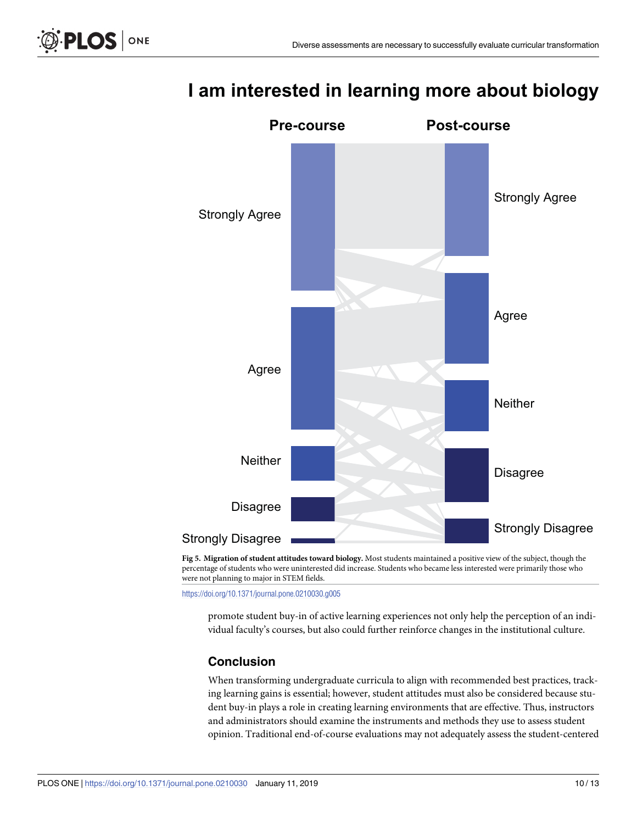<span id="page-10-0"></span>



# **I am interested in learning more about biology**

percentage of students who were uninterested did increase. Students who became less interested were primarily those who were not planning to major in STEM fields.

<https://doi.org/10.1371/journal.pone.0210030.g005>

promote student buy-in of active learning experiences not only help the perception of an individual faculty's courses, but also could further reinforce changes in the institutional culture.

# **Conclusion**

When transforming undergraduate curricula to align with recommended best practices, tracking learning gains is essential; however, student attitudes must also be considered because student buy-in plays a role in creating learning environments that are effective. Thus, instructors and administrators should examine the instruments and methods they use to assess student opinion. Traditional end-of-course evaluations may not adequately assess the student-centered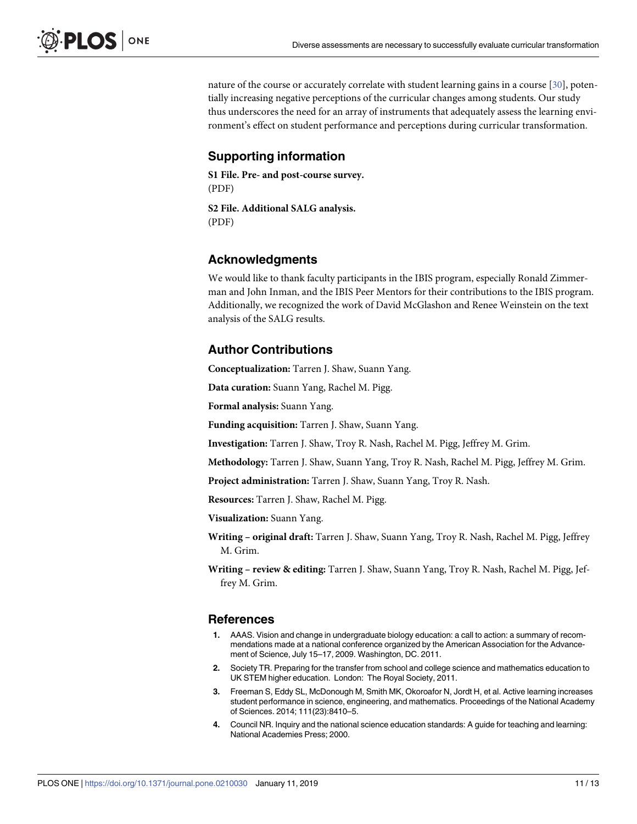<span id="page-11-0"></span>nature of the course or accurately correlate with student learning gains in a course [\[30\]](#page-13-0), potentially increasing negative perceptions of the curricular changes among students. Our study thus underscores the need for an array of instruments that adequately assess the learning environment's effect on student performance and perceptions during curricular transformation.

## **Supporting information**

**S1 [File.](http://www.plosone.org/article/fetchSingleRepresentation.action?uri=info:doi/10.1371/journal.pone.0210030.s001) Pre- and post-course survey.** (PDF)

**S2 [File.](http://www.plosone.org/article/fetchSingleRepresentation.action?uri=info:doi/10.1371/journal.pone.0210030.s002) Additional SALG analysis.** (PDF)

## **Acknowledgments**

We would like to thank faculty participants in the IBIS program, especially Ronald Zimmerman and John Inman, and the IBIS Peer Mentors for their contributions to the IBIS program. Additionally, we recognized the work of David McGlashon and Renee Weinstein on the text analysis of the SALG results.

## **Author Contributions**

**Conceptualization:** Tarren J. Shaw, Suann Yang.

**Data curation:** Suann Yang, Rachel M. Pigg.

**Formal analysis:** Suann Yang.

**Funding acquisition:** Tarren J. Shaw, Suann Yang.

**Investigation:** Tarren J. Shaw, Troy R. Nash, Rachel M. Pigg, Jeffrey M. Grim.

**Methodology:** Tarren J. Shaw, Suann Yang, Troy R. Nash, Rachel M. Pigg, Jeffrey M. Grim.

**Project administration:** Tarren J. Shaw, Suann Yang, Troy R. Nash.

**Resources:** Tarren J. Shaw, Rachel M. Pigg.

**Visualization:** Suann Yang.

**Writing – original draft:** Tarren J. Shaw, Suann Yang, Troy R. Nash, Rachel M. Pigg, Jeffrey M. Grim.

**Writing – review & editing:** Tarren J. Shaw, Suann Yang, Troy R. Nash, Rachel M. Pigg, Jeffrey M. Grim.

#### **References**

- **[1](#page-1-0).** AAAS. Vision and change in undergraduate biology education: a call to action: a summary of recommendations made at a national conference organized by the American Association for the Advancement of Science, July 15–17, 2009. Washington, DC. 2011.
- **[2](#page-1-0).** Society TR. Preparing for the transfer from school and college science and mathematics education to UK STEM higher education. London: The Royal Society, 2011.
- **[3](#page-1-0).** Freeman S, Eddy SL, McDonough M, Smith MK, Okoroafor N, Jordt H, et al. Active learning increases student performance in science, engineering, and mathematics. Proceedings of the National Academy of Sciences. 2014; 111(23):8410–5.
- **[4](#page-2-0).** Council NR. Inquiry and the national science education standards: A guide for teaching and learning: National Academies Press; 2000.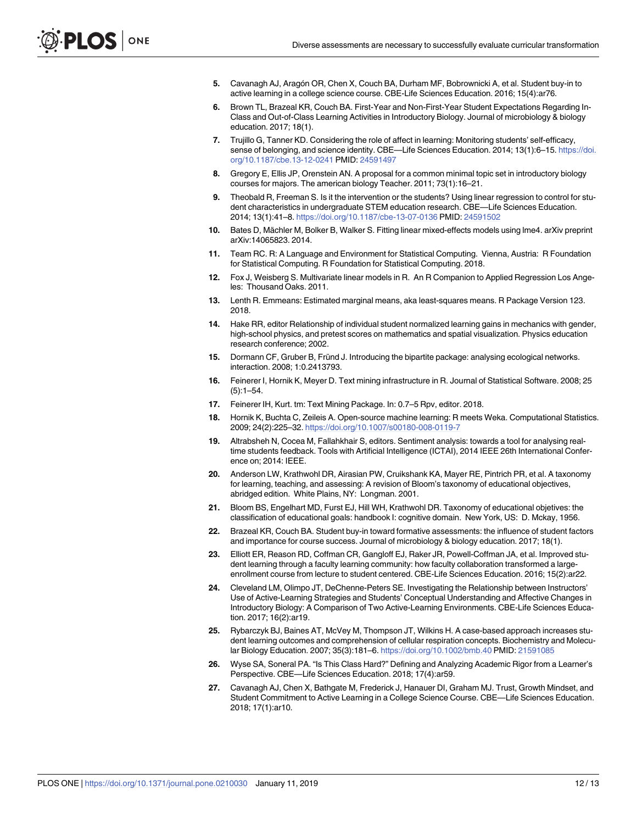- <span id="page-12-0"></span>**[5](#page-2-0).** Cavanagh AJ, Aragón OR, Chen X, Couch BA, Durham MF, Bobrownicki A, et al. Student buy-in to active learning in a college science course. CBE-Life Sciences Education. 2016; 15(4):ar76.
- **[6](#page-2-0).** Brown TL, Brazeal KR, Couch BA. First-Year and Non-First-Year Student Expectations Regarding In-Class and Out-of-Class Learning Activities in Introductory Biology. Journal of microbiology & biology education. 2017; 18(1).
- **[7](#page-2-0).** Trujillo G, Tanner KD. Considering the role of affect in learning: Monitoring students' self-efficacy, sense of belonging, and science identity. CBE—Life Sciences Education. 2014; 13(1):6–15. [https://doi.](https://doi.org/10.1187/cbe.13-12-0241) [org/10.1187/cbe.13-12-0241](https://doi.org/10.1187/cbe.13-12-0241) PMID: [24591497](http://www.ncbi.nlm.nih.gov/pubmed/24591497)
- **[8](#page-3-0).** Gregory E, Ellis JP, Orenstein AN. A proposal for a common minimal topic set in introductory biology courses for majors. The american biology Teacher. 2011; 73(1):16–21.
- **[9](#page-4-0).** Theobald R, Freeman S. Is it the intervention or the students? Using linear regression to control for student characteristics in undergraduate STEM education research. CBE—Life Sciences Education. 2014; 13(1):41–8. <https://doi.org/10.1187/cbe-13-07-0136> PMID: [24591502](http://www.ncbi.nlm.nih.gov/pubmed/24591502)
- **[10](#page-4-0).** Bates D, Mächler M, Bolker B, Walker S. Fitting linear mixed-effects models using lme4. arXiv preprint arXiv:14065823. 2014.
- **[11](#page-4-0).** Team RC. R: A Language and Environment for Statistical Computing. Vienna, Austria: R Foundation for Statistical Computing. R Foundation for Statistical Computing. 2018.
- **[12](#page-4-0).** Fox J, Weisberg S. Multivariate linear models in R. An R Companion to Applied Regression Los Angeles: Thousand Oaks. 2011.
- **[13](#page-4-0).** Lenth R. Emmeans: Estimated marginal means, aka least-squares means. R Package Version 123. 2018.
- **[14](#page-4-0).** Hake RR, editor Relationship of individual student normalized learning gains in mechanics with gender, high-school physics, and pretest scores on mathematics and spatial visualization. Physics education research conference; 2002.
- **[15](#page-4-0).** Dormann CF, Gruber B, Fründ J. Introducing the bipartite package: analysing ecological networks. interaction. 2008; 1:0.2413793.
- **[16](#page-4-0).** Feinerer I, Hornik K, Meyer D. Text mining infrastructure in R. Journal of Statistical Software. 2008; 25  $(5):1-54.$
- **[17](#page-4-0).** Feinerer IH, Kurt. tm: Text Mining Package. In: 0.7–5 Rpv, editor. 2018.
- **[18](#page-4-0).** Hornik K, Buchta C, Zeileis A. Open-source machine learning: R meets Weka. Computational Statistics. 2009; 24(2):225–32. <https://doi.org/10.1007/s00180-008-0119-7>
- **[19](#page-4-0).** Altrabsheh N, Cocea M, Fallahkhair S, editors. Sentiment analysis: towards a tool for analysing realtime students feedback. Tools with Artificial Intelligence (ICTAI), 2014 IEEE 26th International Conference on; 2014: IEEE.
- **[20](#page-4-0).** Anderson LW, Krathwohl DR, Airasian PW, Cruikshank KA, Mayer RE, Pintrich PR, et al. A taxonomy for learning, teaching, and assessing: A revision of Bloom's taxonomy of educational objectives, abridged edition. White Plains, NY: Longman. 2001.
- **[21](#page-4-0).** Bloom BS, Engelhart MD, Furst EJ, Hill WH, Krathwohl DR. Taxonomy of educational objetives: the classification of educational goals: handbook I: cognitive domain. New York, US: D. Mckay, 1956.
- **[22](#page-5-0).** Brazeal KR, Couch BA. Student buy-in toward formative assessments: the influence of student factors and importance for course success. Journal of microbiology & biology education. 2017; 18(1).
- **[23](#page-9-0).** Elliott ER, Reason RD, Coffman CR, Gangloff EJ, Raker JR, Powell-Coffman JA, et al. Improved student learning through a faculty learning community: how faculty collaboration transformed a largeenrollment course from lecture to student centered. CBE-Life Sciences Education. 2016; 15(2):ar22.
- **[24](#page-9-0).** Cleveland LM, Olimpo JT, DeChenne-Peters SE. Investigating the Relationship between Instructors' Use of Active-Learning Strategies and Students' Conceptual Understanding and Affective Changes in Introductory Biology: A Comparison of Two Active-Learning Environments. CBE-Life Sciences Education. 2017; 16(2):ar19.
- **[25](#page-9-0).** Rybarczyk BJ, Baines AT, McVey M, Thompson JT, Wilkins H. A case-based approach increases student learning outcomes and comprehension of cellular respiration concepts. Biochemistry and Molecular Biology Education. 2007; 35(3):181–6. <https://doi.org/10.1002/bmb.40> PMID: [21591085](http://www.ncbi.nlm.nih.gov/pubmed/21591085)
- **[26](#page-9-0).** Wyse SA, Soneral PA. "Is This Class Hard?" Defining and Analyzing Academic Rigor from a Learner's Perspective. CBE—Life Sciences Education. 2018; 17(4):ar59.
- **[27](#page-9-0).** Cavanagh AJ, Chen X, Bathgate M, Frederick J, Hanauer DI, Graham MJ. Trust, Growth Mindset, and Student Commitment to Active Learning in a College Science Course. CBE—Life Sciences Education. 2018; 17(1):ar10.